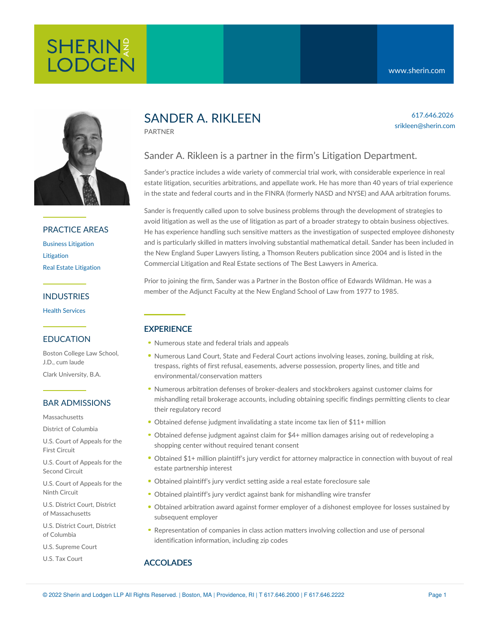617.646.2026 srikleen@sherin.com



## PRACTICE AREAS

Business [Litigation](https://www.sherin.com/practice-areas/litigation/business-litigation/) [Litigation](https://www.sherin.com/practice-areas/litigation/) Real Estate [Litigation](https://www.sherin.com/practice-areas/litigation/real-estate-litigation/)

## INDUSTRIES

Health [Services](https://www.sherin.com/industries/health-services/)

## EDUCATION

Boston College Law School, J.D., cum laude Clark University, B.A.

## BAR ADMISSIONS

**Massachusetts** 

District of Columbia

U.S. Court of Appeals for the First Circuit

U.S. Court of Appeals for the Second Circuit

U.S. Court of Appeals for the Ninth Circuit

U.S. District Court, District of Massachusetts

U.S. District Court, District of Columbia

U.S. Supreme Court

U.S. Tax Court

# SANDER A. RIKLEEN

PARTNER

# Sander A. Rikleen is a partner in the firm's Litigation Department.

Sander's practice includes a wide variety of commercial trial work, with considerable experience in real estate litigation, securities arbitrations, and appellate work. He has more than 40 years of trial experience in the state and federal courts and in the FINRA (formerly NASD and NYSE) and AAA arbitration forums.

Sander is frequently called upon to solve business problems through the development of strategies to avoid litigation as well as the use of litigation as part of a broader strategy to obtain business objectives. He has experience handling such sensitive matters as the investigation of suspected employee dishonesty and is particularly skilled in matters involving substantial mathematical detail. Sander has been included in the New England Super Lawyers listing, a Thomson Reuters publication since 2004 and is listed in the Commercial Litigation and Real Estate sections of The Best Lawyers in America.

Prior to joining the firm, Sander was a Partner in the Boston office of Edwards Wildman. He was a member of the Adjunct Faculty at the New England School of Law from 1977 to 1985.

# **EXPERIENCE**

- Numerous state and federal trials and appeals
- Numerous Land Court, State and Federal Court actions involving leases, zoning, building at risk, trespass, rights of first refusal, easements, adverse possession, property lines, and title and environmental/conservation matters
- Numerous arbitration defenses of broker-dealers and stockbrokers against customer claims for mishandling retail brokerage accounts, including obtaining specific findings permitting clients to clear their regulatory record
- Obtained defense judgment invalidating a state income tax lien of \$11+ million
- Obtained defense judgment against claim for \$4+ million damages arising out of redeveloping a shopping center without required tenant consent
- Obtained \$1+ million plaintiff's jury verdict for attorney malpractice in connection with buyout of real estate partnership interest
- Obtained plaintiff's jury verdict setting aside a real estate foreclosure sale
- Obtained plaintiff's jury verdict against bank for mishandling wire transfer
- Obtained arbitration award against former employer of a dishonest employee for losses sustained by subsequent employer
- Representation of companies in class action matters involving collection and use of personal identification information, including zip codes

# ACCOLADES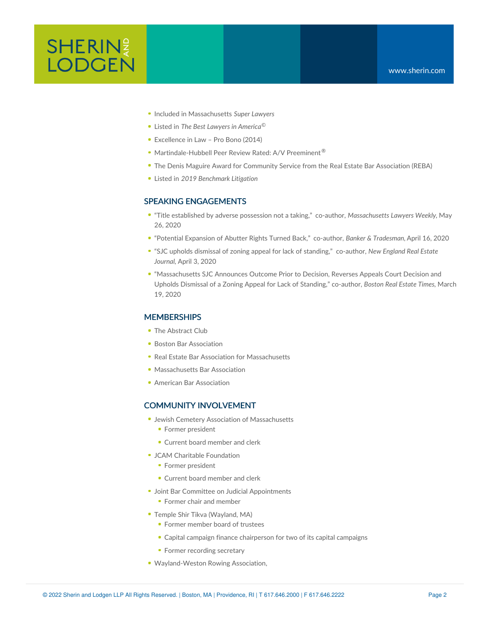- Included in Massachusetts *Super Lawyers*
- Listed in *The Best Lawyers in America ©*
- Excellence in Law Pro Bono (2014)
- Martindale-Hubbell Peer Review Rated: A/V Preeminent<sup>®</sup>
- The Denis Maguire Award for Community Service from the Real Estate Bar Association (REBA)
- Listed in *2019 Benchmark Litigation*

#### SPEAKING ENGAGEMENTS

- "Title [established](https://www.sherin.com/firm-news/sander-a-rikleen-and-amy-l-hahn-published-in-massachusetts-lawyers-weekly-on-the-distinction-between-adverse-possession-or-prescription-and-an-eminent-domain-taking/) by adverse possession not a taking," co-author, *Massachusetts Lawyers Weekly,* May 26, 2020
- "Potential [Expansion](https://www.sherin.com/firm-news/sander-a-rikleen-and-amy-l-hahn-published-in-banker-tradesman-on-recent-supreme-judicial-court-ruling-based-on-lack-of-standing/) of Abutter Rights Turned Back," co-author, *Banker & Tradesman,*April 16, 2020
- "SJC upholds dismissal of zoning appeal for lack of [standing,"](https://www.sherin.com/firm-news/sander-a-rikleen-and-amy-l-hahn-published-in-new-england-real-estate-journal-on-a-sjc-decision-based-on-standing/) co-author, *New England Real Estate Journal,* April 3, 2020
- ["Massachusetts](https://www.sherin.com/firm-news/sander-a-rikleen-and-amy-l-hahn-published-in-boston-real-estate-times-and-the-national-law-review-on-lack-of-standing-in-land-use-appeals/) SJC Announces Outcome Prior to Decision, Reverses Appeals Court Decision and Upholds Dismissal of a Zoning Appeal for Lack of Standing," co-author, *Boston Real Estate Times,* March 19, 2020

#### **MEMBERSHIPS**

- The Abstract Club
- **Boston Bar [Association](http://bostonbar.org/)**
- Real Estate Bar Association for [Massachusetts](http://reba.net/)
- [Massachusetts](http://massbar.org/) Bar Association
- **American Bar [Association](http://americanbar.org/)**

#### COMMUNITY INVOLVEMENT

- Jewish Cemetery Association of Massachusetts
	- Former president
	- Current board member and clerk
- JCAM Charitable Foundation
	- Former president
	- Current board member and clerk
- **Joint Bar Committee on Judicial Appointments** 
	- **Former chair and member**
- Temple Shir Tikva (Wayland, MA)
	- **Former member board of trustees**
	- Capital campaign finance chairperson for two of its capital campaigns
	- Former recording secretary
- Wayland-Weston Rowing Association,